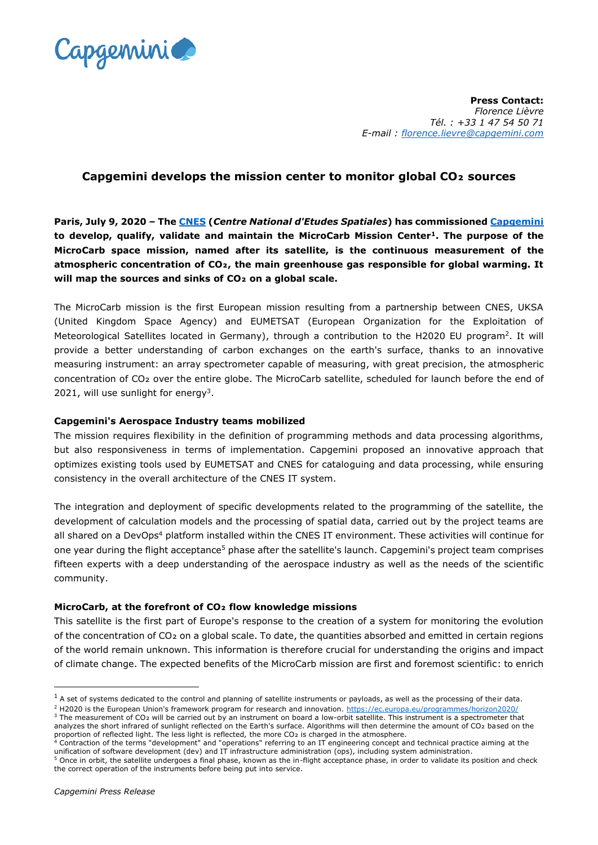

**Press Contact:**  *Florence Lièvre Tél. : +33 1 47 54 50 71 E-mail : [florence.lievre@capgemini.com](mailto:florence.lievre@capgemini.com)*

## **Capgemini develops the mission center to monitor global CO₂ sources**

**Paris, July 9, 2020 – The [CNES](https://cnes.fr/fr) (***Centre National d'Etudes Spatiales***) has commissioned [Capgemini](https://www.capgemini.com/) to develop, qualify, validate and maintain the MicroCarb Mission Center<sup>1</sup>. The purpose of the MicroCarb space mission, named after its satellite, is the continuous measurement of the atmospheric concentration of CO₂, the main greenhouse gas responsible for global warming. It will map the sources and sinks of CO₂ on a global scale.**

The MicroCarb mission is the first European mission resulting from a partnership between CNES, UKSA (United Kingdom Space Agency) and EUMETSAT (European Organization for the Exploitation of Meteorological Satellites located in Germany), through a contribution to the H2020 EU program<sup>2</sup>. It will provide a better understanding of carbon exchanges on the earth's surface, thanks to an innovative measuring instrument: an array spectrometer capable of measuring, with great precision, the atmospheric concentration of CO<sub>2</sub> over the entire globe. The MicroCarb satellite, scheduled for launch before the end of 2021, will use sunlight for energy<sup>3</sup>.

## **Capgemini's Aerospace Industry teams mobilized**

The mission requires flexibility in the definition of programming methods and data processing algorithms, but also responsiveness in terms of implementation. Capgemini proposed an innovative approach that optimizes existing tools used by EUMETSAT and CNES for cataloguing and data processing, while ensuring consistency in the overall architecture of the CNES IT system.

The integration and deployment of specific developments related to the programming of the satellite, the development of calculation models and the processing of spatial data, carried out by the project teams are all shared on a DevOps<sup>4</sup> platform installed within the CNES IT environment. These activities will continue for one year during the flight acceptance<sup>5</sup> phase after the satellite's launch. Capgemini's project team comprises fifteen experts with a deep understanding of the aerospace industry as well as the needs of the scientific community.

## **MicroCarb, at the forefront of CO₂ flow knowledge missions**

This satellite is the first part of Europe's response to the creation of a system for monitoring the evolution of the concentration of CO₂ on a global scale. To date, the quantities absorbed and emitted in certain regions of the world remain unknown. This information is therefore crucial for understanding the origins and impact of climate change. The expected benefits of the MicroCarb mission are first and foremost scientific: to enrich

 $1$  A set of systems dedicated to the control and planning of satellite instruments or payloads, as well as the processing of their data.

<sup>2</sup> H2020 is the European Union's framework program for research and innovation.<https://ec.europa.eu/programmes/horizon2020/>

<sup>&</sup>lt;sup>3</sup> The measurement of CO<sub>2</sub> will be carried out by an instrument on board a low-orbit satellite. This instrument is a spectrometer that analyzes the short infrared of sunlight reflected on the Earth's surface. Algorithms will then determine the amount of CO2 based on the

proportion of reflected light. The less light is reflected, the more CO2 is charged in the atmosphere.<br><sup>4</sup> Contraction of the terms "development" and "operations" referring to an IT engineering concept and technical practi unification of software development (dev) and IT infrastructure administration (ops), including system administration.

<sup>&</sup>lt;sup>5</sup> Once in orbit, the satellite undergoes a final phase, known as the in-flight acceptance phase, in order to validate its position and check the correct operation of the instruments before being put into service.